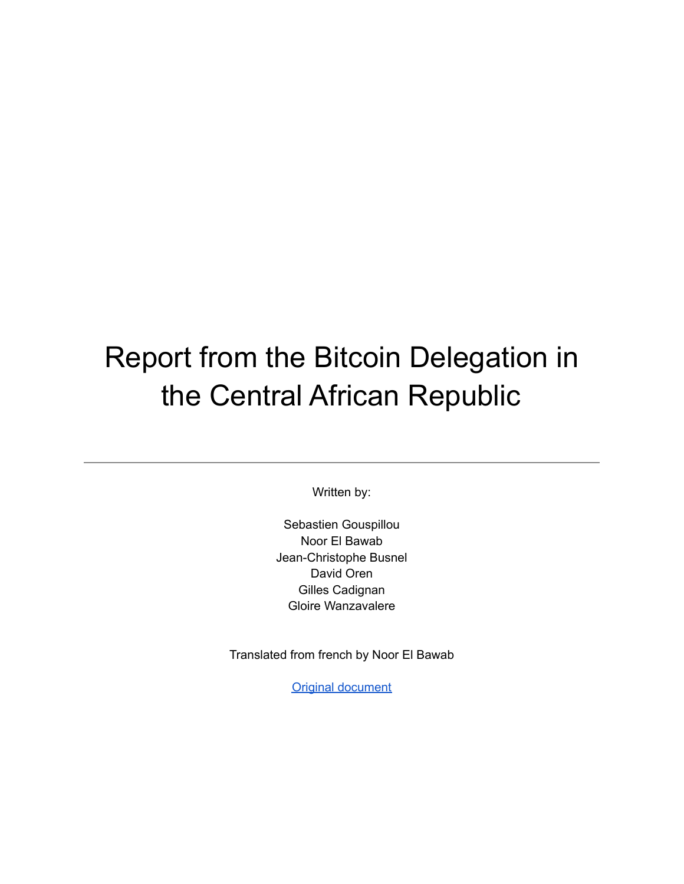# Report from the Bitcoin Delegation in the Central African Republic

Written by:

Sebastien Gouspillou Noor El Bawab Jean-Christophe Busnel David Oren Gilles Cadignan Gloire Wanzavalere

Translated from french by Noor El Bawab

**Original [document](https://docs.google.com/document/d/1ViIPPcvbnu_AMPiFCRUIP_K4eyN8gWKoGoFAgKMDCPI/edit#)**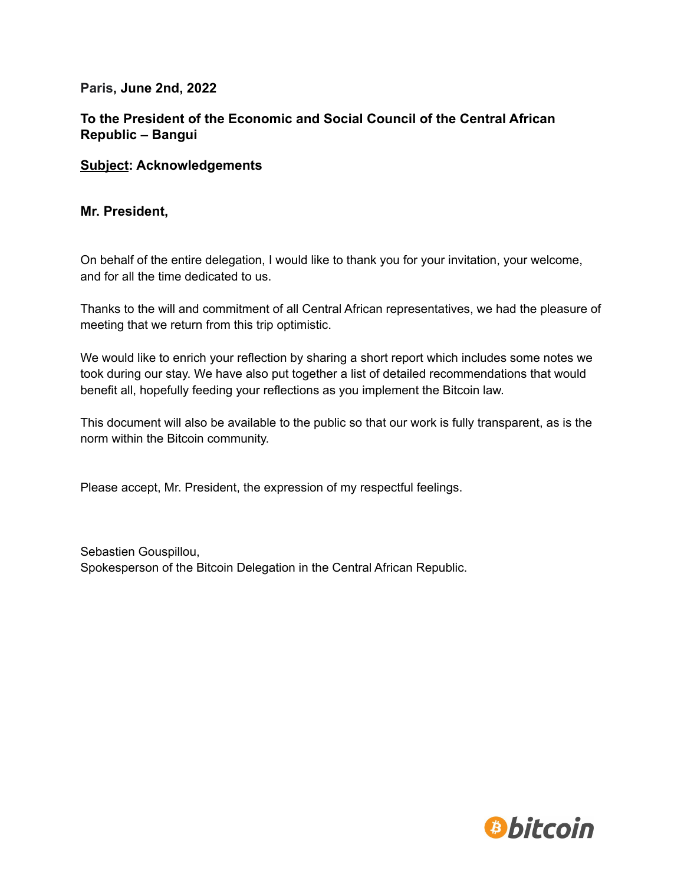**Paris, June 2nd, 2022**

#### **To the President of the Economic and Social Council of the Central African Republic – Bangui**

#### **Subject: Acknowledgements**

#### **Mr. President,**

On behalf of the entire delegation, I would like to thank you for your invitation, your welcome, and for all the time dedicated to us.

Thanks to the will and commitment of all Central African representatives, we had the pleasure of meeting that we return from this trip optimistic.

We would like to enrich your reflection by sharing a short report which includes some notes we took during our stay. We have also put together a list of detailed recommendations that would benefit all, hopefully feeding your reflections as you implement the Bitcoin law.

This document will also be available to the public so that our work is fully transparent, as is the norm within the Bitcoin community.

Please accept, Mr. President, the expression of my respectful feelings.

Sebastien Gouspillou, Spokesperson of the Bitcoin Delegation in the Central African Republic.

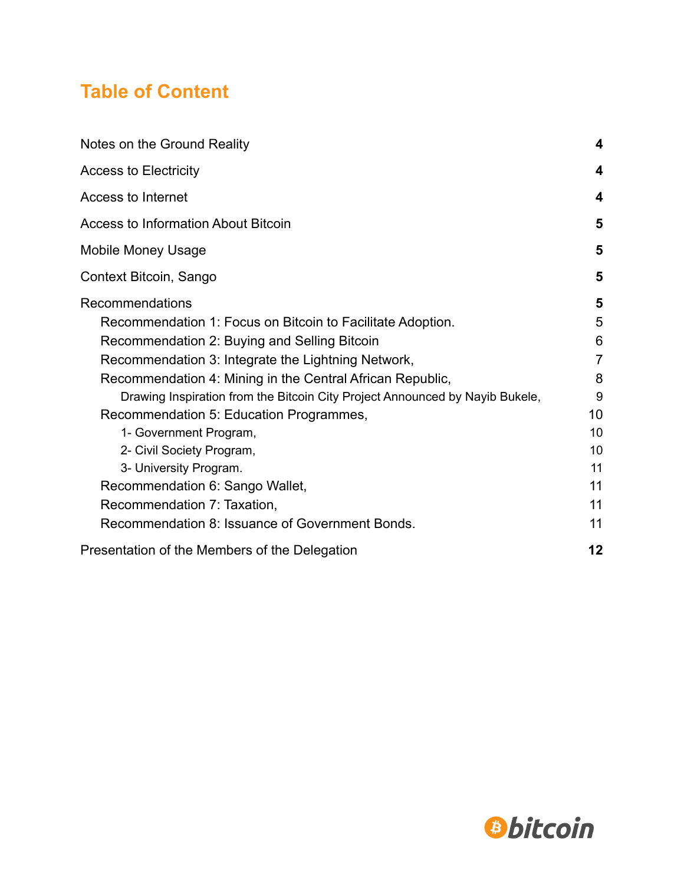# **Table of Content**

| Notes on the Ground Reality                                                                                                                                                                                                                                                                                                                                                                                                                                                                                                    |                                                                             |  |
|--------------------------------------------------------------------------------------------------------------------------------------------------------------------------------------------------------------------------------------------------------------------------------------------------------------------------------------------------------------------------------------------------------------------------------------------------------------------------------------------------------------------------------|-----------------------------------------------------------------------------|--|
| <b>Access to Electricity</b>                                                                                                                                                                                                                                                                                                                                                                                                                                                                                                   | 4                                                                           |  |
| Access to Internet                                                                                                                                                                                                                                                                                                                                                                                                                                                                                                             | 4                                                                           |  |
| <b>Access to Information About Bitcoin</b>                                                                                                                                                                                                                                                                                                                                                                                                                                                                                     | 5                                                                           |  |
| <b>Mobile Money Usage</b>                                                                                                                                                                                                                                                                                                                                                                                                                                                                                                      | 5                                                                           |  |
| Context Bitcoin, Sango                                                                                                                                                                                                                                                                                                                                                                                                                                                                                                         | 5                                                                           |  |
| Recommendations<br>Recommendation 1: Focus on Bitcoin to Facilitate Adoption.<br>Recommendation 2: Buying and Selling Bitcoin<br>Recommendation 3: Integrate the Lightning Network,<br>Recommendation 4: Mining in the Central African Republic,<br>Drawing Inspiration from the Bitcoin City Project Announced by Nayib Bukele,<br>Recommendation 5: Education Programmes,<br>1- Government Program,<br>2- Civil Society Program,<br>3- University Program.<br>Recommendation 6: Sango Wallet,<br>Recommendation 7: Taxation, | 5<br>5<br>6<br>$\overline{7}$<br>8<br>9<br>10<br>10<br>10<br>11<br>11<br>11 |  |
| Recommendation 8: Issuance of Government Bonds.                                                                                                                                                                                                                                                                                                                                                                                                                                                                                | 11                                                                          |  |
| Presentation of the Members of the Delegation                                                                                                                                                                                                                                                                                                                                                                                                                                                                                  | 12                                                                          |  |

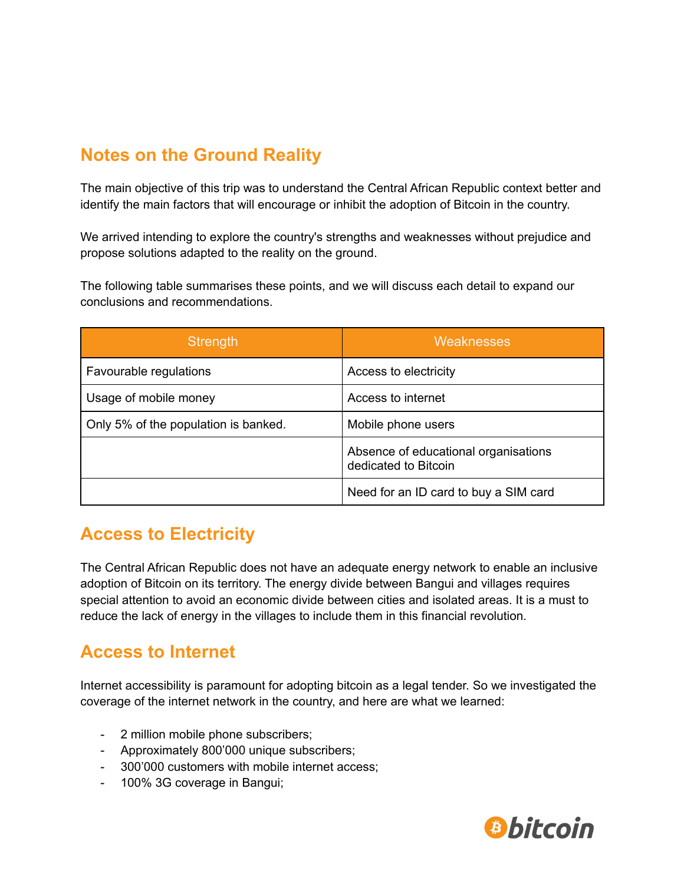# <span id="page-3-0"></span>**Notes on the Ground Reality**

The main objective of this trip was to understand the Central African Republic context better and identify the main factors that will encourage or inhibit the adoption of Bitcoin in the country.

We arrived intending to explore the country's strengths and weaknesses without prejudice and propose solutions adapted to the reality on the ground.

The following table summarises these points, and we will discuss each detail to expand our conclusions and recommendations.

| Strength                             | <b>Weaknesses</b>                                            |
|--------------------------------------|--------------------------------------------------------------|
| Favourable regulations               | Access to electricity                                        |
| Usage of mobile money                | Access to internet                                           |
| Only 5% of the population is banked. | Mobile phone users                                           |
|                                      | Absence of educational organisations<br>dedicated to Bitcoin |
|                                      | Need for an ID card to buy a SIM card                        |

## <span id="page-3-1"></span>**Access to Electricity**

The Central African Republic does not have an adequate energy network to enable an inclusive adoption of Bitcoin on its territory. The energy divide between Bangui and villages requires special attention to avoid an economic divide between cities and isolated areas. It is a must to reduce the lack of energy in the villages to include them in this financial revolution.

## <span id="page-3-2"></span>**Access to Internet**

Internet accessibility is paramount for adopting bitcoin as a legal tender. So we investigated the coverage of the internet network in the country, and here are what we learned:

- 2 million mobile phone subscribers;
- Approximately 800'000 unique subscribers;
- 300'000 customers with mobile internet access;
- 100% 3G coverage in Bangui;

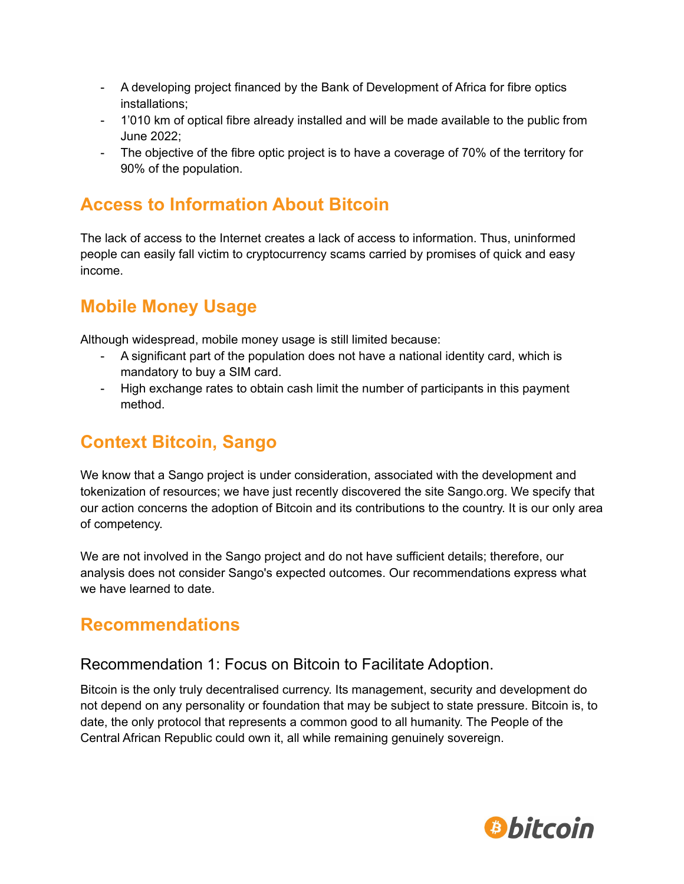- A developing project financed by the Bank of Development of Africa for fibre optics installations;
- 1'010 km of optical fibre already installed and will be made available to the public from June 2022;
- The objective of the fibre optic project is to have a coverage of 70% of the territory for 90% of the population.

## <span id="page-4-0"></span>**Access to Information About Bitcoin**

The lack of access to the Internet creates a lack of access to information. Thus, uninformed people can easily fall victim to cryptocurrency scams carried by promises of quick and easy income.

## <span id="page-4-1"></span>**Mobile Money Usage**

Although widespread, mobile money usage is still limited because:

- A significant part of the population does not have a national identity card, which is mandatory to buy a SIM card.
- High exchange rates to obtain cash limit the number of participants in this payment method.

# <span id="page-4-2"></span>**Context Bitcoin, Sango**

We know that a Sango project is under consideration, associated with the development and tokenization of resources; we have just recently discovered the site Sango.org. We specify that our action concerns the adoption of Bitcoin and its contributions to the country. It is our only area of competency.

We are not involved in the Sango project and do not have sufficient details; therefore, our analysis does not consider Sango's expected outcomes. Our recommendations express what we have learned to date.

## <span id="page-4-4"></span><span id="page-4-3"></span>**Recommendations**

## Recommendation 1: Focus on Bitcoin to Facilitate Adoption.

Bitcoin is the only truly decentralised currency. Its management, security and development do not depend on any personality or foundation that may be subject to state pressure. Bitcoin is, to date, the only protocol that represents a common good to all humanity. The People of the Central African Republic could own it, all while remaining genuinely sovereign.

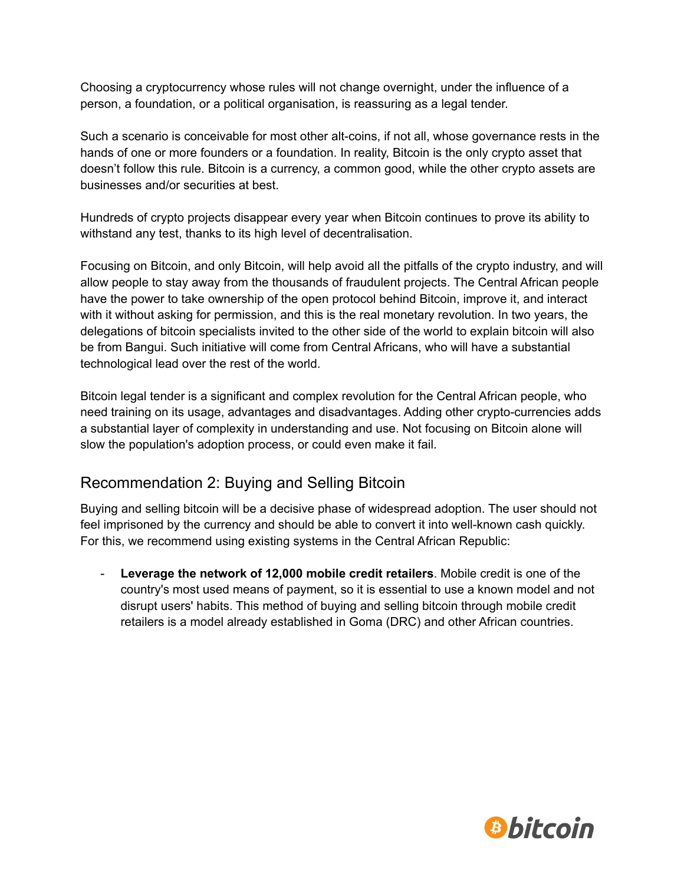Choosing a cryptocurrency whose rules will not change overnight, under the influence of a person, a foundation, or a political organisation, is reassuring as a legal tender.

Such a scenario is conceivable for most other alt-coins, if not all, whose governance rests in the hands of one or more founders or a foundation. In reality, Bitcoin is the only crypto asset that doesn't follow this rule. Bitcoin is a currency, a common good, while the other crypto assets are businesses and/or securities at best.

Hundreds of crypto projects disappear every year when Bitcoin continues to prove its ability to withstand any test, thanks to its high level of decentralisation.

Focusing on Bitcoin, and only Bitcoin, will help avoid all the pitfalls of the crypto industry, and will allow people to stay away from the thousands of fraudulent projects. The Central African people have the power to take ownership of the open protocol behind Bitcoin, improve it, and interact with it without asking for permission, and this is the real monetary revolution. In two years, the delegations of bitcoin specialists invited to the other side of the world to explain bitcoin will also be from Bangui. Such initiative will come from Central Africans, who will have a substantial technological lead over the rest of the world.

Bitcoin legal tender is a significant and complex revolution for the Central African people, who need training on its usage, advantages and disadvantages. Adding other crypto-currencies adds a substantial layer of complexity in understanding and use. Not focusing on Bitcoin alone will slow the population's adoption process, or could even make it fail.

## <span id="page-5-0"></span>Recommendation 2: Buying and Selling Bitcoin

Buying and selling bitcoin will be a decisive phase of widespread adoption. The user should not feel imprisoned by the currency and should be able to convert it into well-known cash quickly. For this, we recommend using existing systems in the Central African Republic:

- **Leverage the network of 12,000 mobile credit retailers**. Mobile credit is one of the country's most used means of payment, so it is essential to use a known model and not disrupt users' habits. This method of buying and selling bitcoin through mobile credit retailers is a model already established in Goma (DRC) and other African countries.

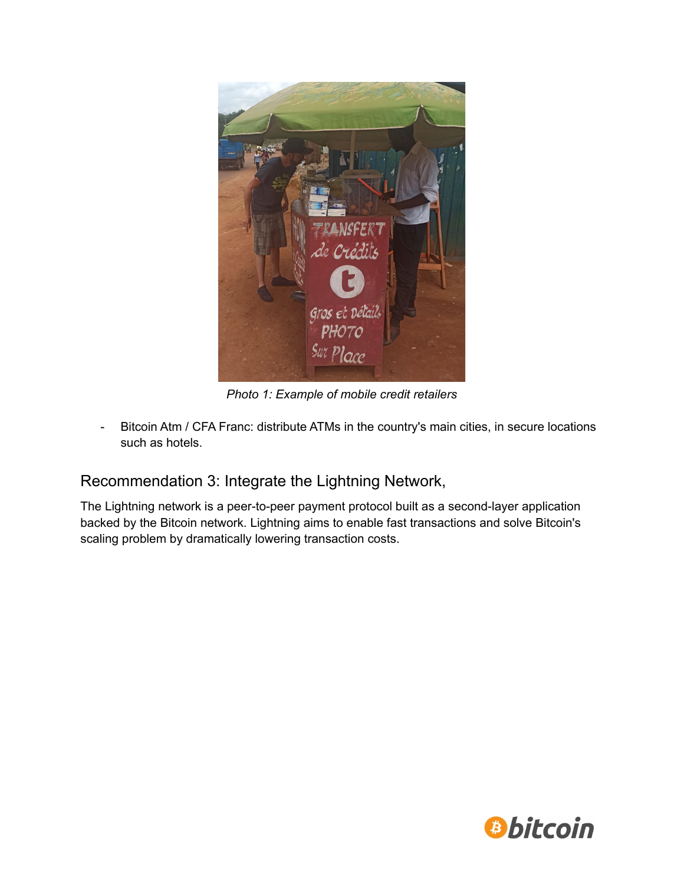

*Photo 1: Example of mobile credit retailers*

- Bitcoin Atm / CFA Franc: distribute ATMs in the country's main cities, in secure locations such as hotels.

## <span id="page-6-0"></span>Recommendation 3: Integrate the Lightning Network,

The Lightning network is a peer-to-peer payment protocol built as a second-layer application backed by the Bitcoin network. Lightning aims to enable fast transactions and solve Bitcoin's scaling problem by dramatically lowering transaction costs.

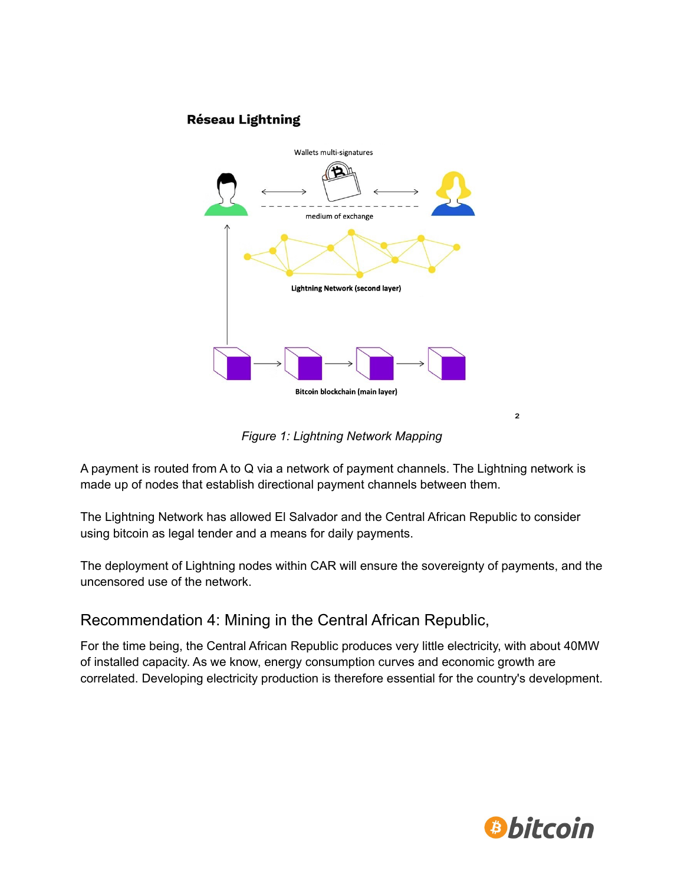#### **Réseau Lightning**



*Figure 1: Lightning Network Mapping*

A payment is routed from A to Q via a network of payment channels. The Lightning network is made up of nodes that establish directional payment channels between them.

The Lightning Network has allowed El Salvador and the Central African Republic to consider using bitcoin as legal tender and a means for daily payments.

The deployment of Lightning nodes within CAR will ensure the sovereignty of payments, and the uncensored use of the network.

<span id="page-7-0"></span>Recommendation 4: Mining in the Central African Republic,

For the time being, the Central African Republic produces very little electricity, with about 40MW of installed capacity. As we know, energy consumption curves and economic growth are correlated. Developing electricity production is therefore essential for the country's development.



 $\overline{\mathbf{c}}$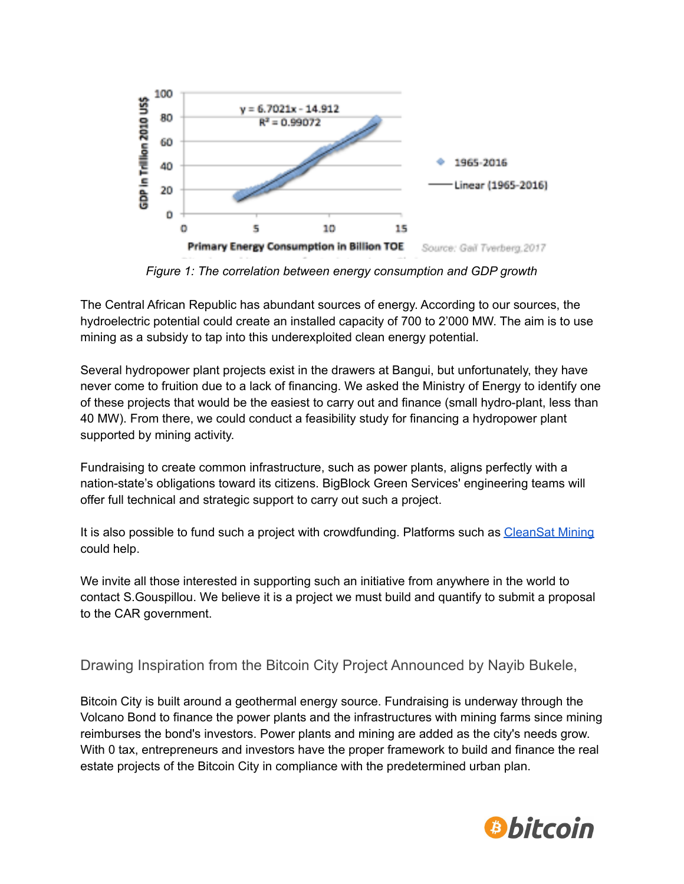

*Figure 1: The correlation between energy consumption and GDP growth*

The Central African Republic has abundant sources of energy. According to our sources, the hydroelectric potential could create an installed capacity of 700 to 2'000 MW. The aim is to use mining as a subsidy to tap into this underexploited clean energy potential.

Several hydropower plant projects exist in the drawers at Bangui, but unfortunately, they have never come to fruition due to a lack of financing. We asked the Ministry of Energy to identify one of these projects that would be the easiest to carry out and finance (small hydro-plant, less than 40 MW). From there, we could conduct a feasibility study for financing a hydropower plant supported by mining activity.

Fundraising to create common infrastructure, such as power plants, aligns perfectly with a nation-state's obligations toward its citizens. BigBlock Green Services' engineering teams will offer full technical and strategic support to carry out such a project.

It is also possible to fund such a project with crowdfunding. Platforms such as [CleanSat](https://cleansatmining.com/) Mining could help.

We invite all those interested in supporting such an initiative from anywhere in the world to contact S.Gouspillou. We believe it is a project we must build and quantify to submit a proposal to the CAR government.

<span id="page-8-0"></span>Drawing Inspiration from the Bitcoin City Project Announced by Nayib Bukele,

Bitcoin City is built around a geothermal energy source. Fundraising is underway through the Volcano Bond to finance the power plants and the infrastructures with mining farms since mining reimburses the bond's investors. Power plants and mining are added as the city's needs grow. With 0 tax, entrepreneurs and investors have the proper framework to build and finance the real estate projects of the Bitcoin City in compliance with the predetermined urban plan.

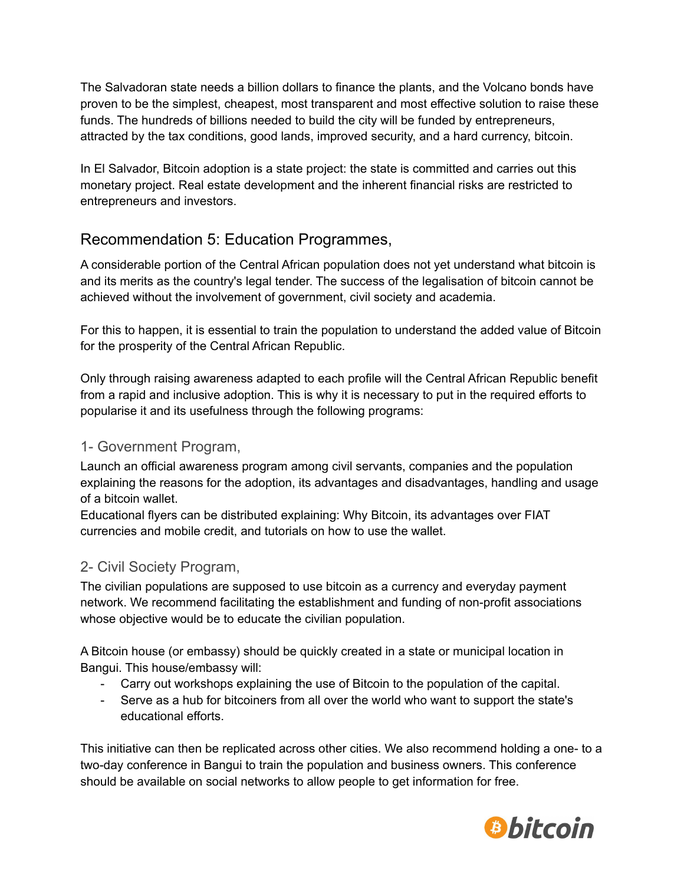The Salvadoran state needs a billion dollars to finance the plants, and the Volcano bonds have proven to be the simplest, cheapest, most transparent and most effective solution to raise these funds. The hundreds of billions needed to build the city will be funded by entrepreneurs, attracted by the tax conditions, good lands, improved security, and a hard currency, bitcoin.

In El Salvador, Bitcoin adoption is a state project: the state is committed and carries out this monetary project. Real estate development and the inherent financial risks are restricted to entrepreneurs and investors.

## <span id="page-9-0"></span>Recommendation 5: Education Programmes,

A considerable portion of the Central African population does not yet understand what bitcoin is and its merits as the country's legal tender. The success of the legalisation of bitcoin cannot be achieved without the involvement of government, civil society and academia.

For this to happen, it is essential to train the population to understand the added value of Bitcoin for the prosperity of the Central African Republic.

Only through raising awareness adapted to each profile will the Central African Republic benefit from a rapid and inclusive adoption. This is why it is necessary to put in the required efforts to popularise it and its usefulness through the following programs:

### <span id="page-9-1"></span>1- Government Program,

Launch an official awareness program among civil servants, companies and the population explaining the reasons for the adoption, its advantages and disadvantages, handling and usage of a bitcoin wallet.

Educational flyers can be distributed explaining: Why Bitcoin, its advantages over FIAT currencies and mobile credit, and tutorials on how to use the wallet.

### <span id="page-9-2"></span>2- Civil Society Program,

The civilian populations are supposed to use bitcoin as a currency and everyday payment network. We recommend facilitating the establishment and funding of non-profit associations whose objective would be to educate the civilian population.

A Bitcoin house (or embassy) should be quickly created in a state or municipal location in Bangui. This house/embassy will:

- Carry out workshops explaining the use of Bitcoin to the population of the capital.
- Serve as a hub for bitcoiners from all over the world who want to support the state's educational efforts.

This initiative can then be replicated across other cities. We also recommend holding a one- to a two-day conference in Bangui to train the population and business owners. This conference should be available on social networks to allow people to get information for free.

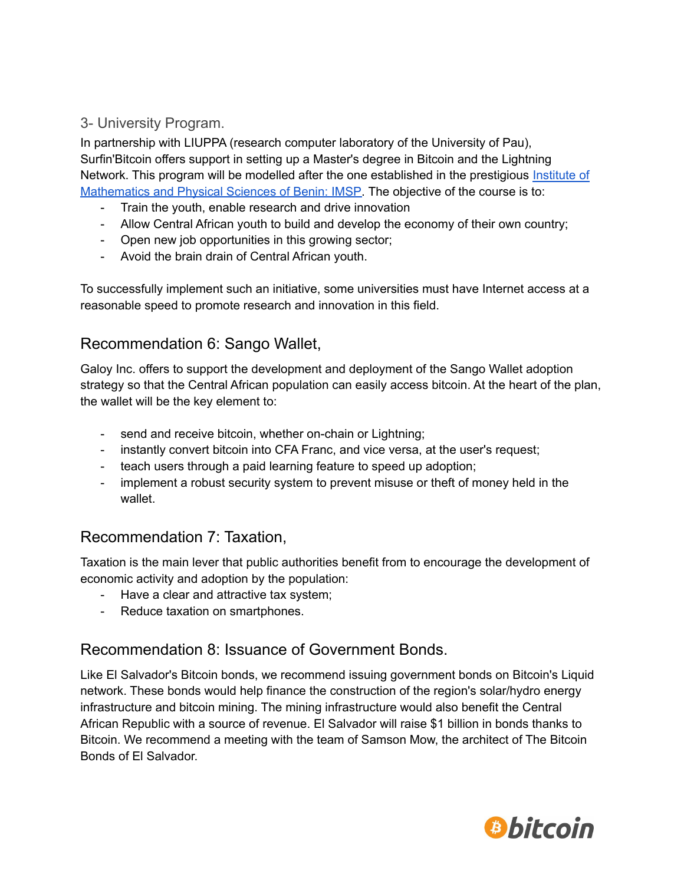#### <span id="page-10-0"></span>3- University Program.

In partnership with LIUPPA (research computer laboratory of the University of Pau), Surfin'Bitcoin offers support in setting up a Master's degree in Bitcoin and the Lightning Network. This program will be modelled after the one established in the prestigious [Institute](http://www.imsp-benin.com/) of [Mathematics](http://www.imsp-benin.com/) and Physical Sciences of Benin: IMSP. The objective of the course is to:

- Train the youth, enable research and drive innovation
- Allow Central African youth to build and develop the economy of their own country;
- Open new job opportunities in this growing sector;
- Avoid the brain drain of Central African youth.

To successfully implement such an initiative, some universities must have Internet access at a reasonable speed to promote research and innovation in this field.

## <span id="page-10-1"></span>Recommendation 6: Sango Wallet,

Galoy Inc. offers to support the development and deployment of the Sango Wallet adoption strategy so that the Central African population can easily access bitcoin. At the heart of the plan, the wallet will be the key element to:

- send and receive bitcoin, whether on-chain or Lightning;
- instantly convert bitcoin into CFA Franc, and vice versa, at the user's request;
- teach users through a paid learning feature to speed up adoption;
- implement a robust security system to prevent misuse or theft of money held in the wallet.

## <span id="page-10-2"></span>Recommendation 7: Taxation,

Taxation is the main lever that public authorities benefit from to encourage the development of economic activity and adoption by the population:

- Have a clear and attractive tax system;
- Reduce taxation on smartphones.

## <span id="page-10-3"></span>Recommendation 8: Issuance of Government Bonds.

Like El Salvador's Bitcoin bonds, we recommend issuing government bonds on Bitcoin's Liquid network. These bonds would help finance the construction of the region's solar/hydro energy infrastructure and bitcoin mining. The mining infrastructure would also benefit the Central African Republic with a source of revenue. El Salvador will raise \$1 billion in bonds thanks to Bitcoin. We recommend a meeting with the team of Samson Mow, the architect of The Bitcoin Bonds of El Salvador.